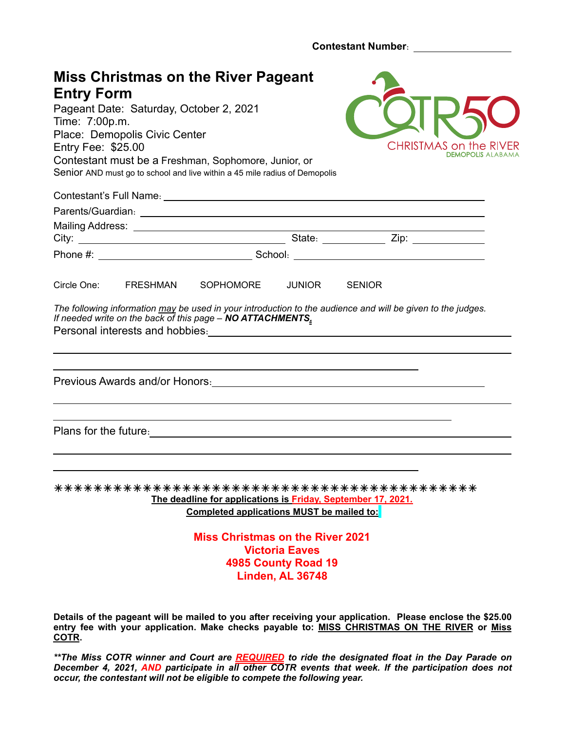**Contestant Number**: 

| <b>Entry Form</b><br>Time: 7:00p.m.<br>Entry Fee: \$25.00 | Pageant Date: Saturday, October 2, 2021<br>Place: Demopolis Civic Center | <b>Miss Christmas on the River Pageant</b><br>Contestant must be a Freshman, Sophomore, Junior, or<br>Senior AND must go to school and live within a 45 mile radius of Demopolis                                                      |                                                                  |               |  | <b>CHRISTMAS on the RIVER</b><br><b>DEMOPOLIS ALABAM/</b> |  |
|-----------------------------------------------------------|--------------------------------------------------------------------------|---------------------------------------------------------------------------------------------------------------------------------------------------------------------------------------------------------------------------------------|------------------------------------------------------------------|---------------|--|-----------------------------------------------------------|--|
|                                                           |                                                                          |                                                                                                                                                                                                                                       |                                                                  |               |  |                                                           |  |
|                                                           |                                                                          |                                                                                                                                                                                                                                       |                                                                  |               |  |                                                           |  |
| Circle One:                                               | FRESHMAN                                                                 | SOPHOMORE                                                                                                                                                                                                                             | JUNIOR                                                           | <b>SENIOR</b> |  |                                                           |  |
|                                                           | Personal interests and hobbies:                                          | The following information may be used in your introduction to the audience and will be given to the judges.<br>If needed write on the back of this page - NO ATTACHMENTS.                                                             | <u> 1980 - Andrea Andrew Maria (h. 1980).</u>                    |               |  |                                                           |  |
|                                                           |                                                                          |                                                                                                                                                                                                                                       |                                                                  |               |  |                                                           |  |
|                                                           |                                                                          | Plans for the future.<br><u> and</u> in the set of the set of the set of the set of the set of the set of the set of the set of the set of the set of the set of the set of the set of the set of the set of the set of the set of th |                                                                  |               |  |                                                           |  |
|                                                           |                                                                          | The deadline for applications is Friday, September 17, 2021.<br>Completed applications MUST be mailed to:                                                                                                                             |                                                                  |               |  |                                                           |  |
|                                                           |                                                                          | <b>Miss Christmas on the River 2021</b>                                                                                                                                                                                               | <b>Victoria Eaves</b><br>4985 County Road 19<br>Linden, AL 36748 |               |  |                                                           |  |
|                                                           |                                                                          |                                                                                                                                                                                                                                       |                                                                  |               |  |                                                           |  |

**Details of the pageant will be mailed to you after receiving your application. Please enclose the \$25.00**  entry fee with your application. Make checks payable to: **MISS CHRISTMAS ON THE RIVER** or Miss **COTR.** 

*\*\*The Miss COTR winner and Court are REQUIRED to ride the designated float in the Day Parade on December 4, 2021, AND participate in all other COTR events that week. If the participation does not occur, the contestant will not be eligible to compete the following year.*